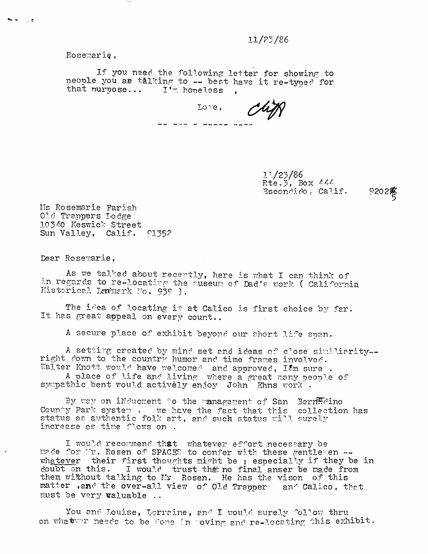## ll/?5/86

Rosemarie,

If you need the following letter for showing to people you ae talking to -- best have it re-typed for that purpose...  $I^{\dagger}$  n hopeless .

Love, Cliff

11/25/86  $Rte. 3$ , Box  $444$  $E$  scondido,  $Call$ if.  $9202\%$ 

Ms Rosemarie Farish 010 Trappers Lodge 10340 Keswick Street Sun Valley, Calif. 01352

Dear Rosemarie,

As we talked about recently, here is what I can think of in regards to re-locating the ruseum of Dad's work ( California Historical Landmark No. 939 ).

The idea of locating it at Calico is first choice by far. It has great appeal on every count..

A secure place of exhibit beyond our short life span.

A settirg created by mind set and ideas of close similiarity-right down to the country humor and time frames involved. Walter Knott would have welcomed and approved, I $\ell_{\rm m}$  sure .

A place of life and living where a great many people of sympathic bent would actively enjoy John Ehns work.

By way on iNducment to the management of San Berre dino County Park system . we have the fact that this collection has status as authentic folk art, and such status will surely increase as time flows on.

I would recommend that whatever effort necessary be made for Fr. Rosen of SPACES to confer with these gentlemen -wh a tever their first thoughts might be ; especially if they be in doubt on this. I would trust that no final anser be made from them without talking to Mr Rosen. He has the vison of this matter ,and the over-all view of Old Trapper and Calico, that must be very valuable ..

You and Louise, Lorraine, and I would surely follow thru on what we needs to be done in roving and re-locating this exhibit.